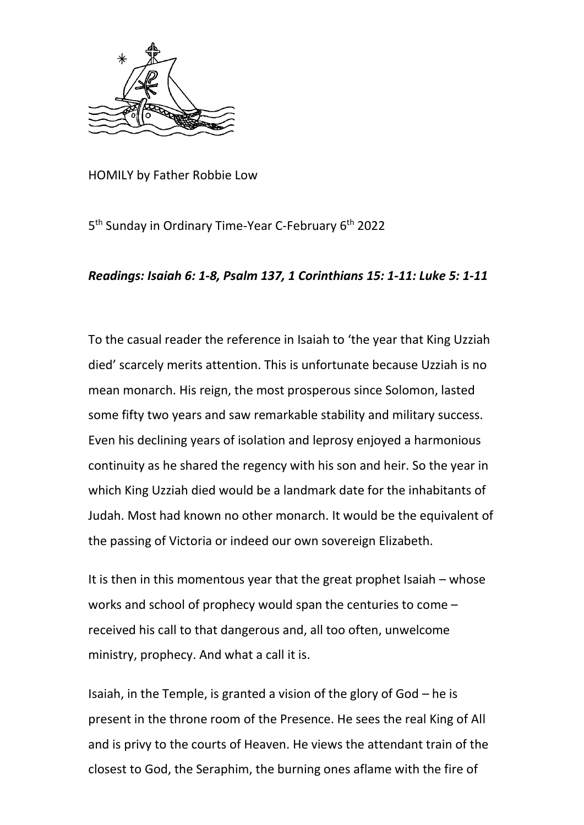

HOMILY by Father Robbie Low

5<sup>th</sup> Sunday in Ordinary Time-Year C-February 6<sup>th</sup> 2022

## *Readings: Isaiah 6: 1-8, Psalm 137, 1 Corinthians 15: 1-11: Luke 5: 1-11*

To the casual reader the reference in Isaiah to 'the year that King Uzziah died' scarcely merits attention. This is unfortunate because Uzziah is no mean monarch. His reign, the most prosperous since Solomon, lasted some fifty two years and saw remarkable stability and military success. Even his declining years of isolation and leprosy enjoyed a harmonious continuity as he shared the regency with his son and heir. So the year in which King Uzziah died would be a landmark date for the inhabitants of Judah. Most had known no other monarch. It would be the equivalent of the passing of Victoria or indeed our own sovereign Elizabeth.

It is then in this momentous year that the great prophet Isaiah – whose works and school of prophecy would span the centuries to come – received his call to that dangerous and, all too often, unwelcome ministry, prophecy. And what a call it is.

Isaiah, in the Temple, is granted a vision of the glory of God – he is present in the throne room of the Presence. He sees the real King of All and is privy to the courts of Heaven. He views the attendant train of the closest to God, the Seraphim, the burning ones aflame with the fire of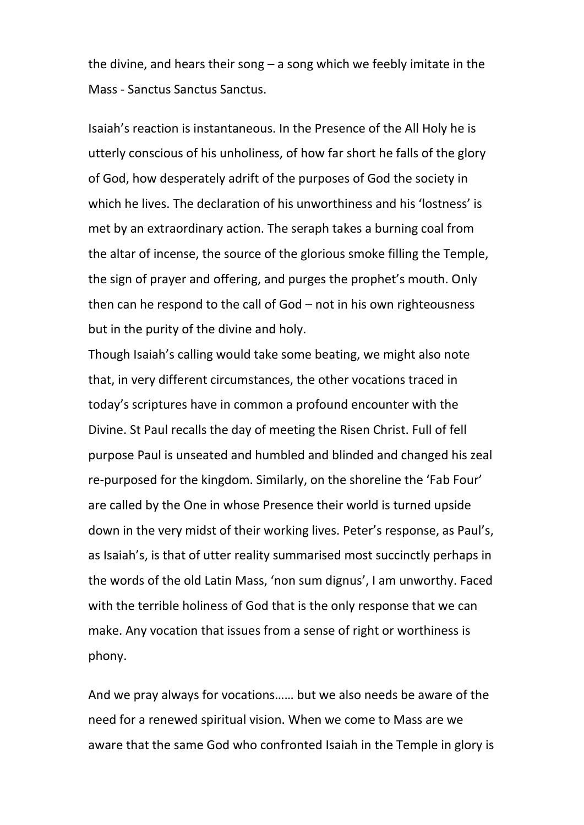the divine, and hears their song – a song which we feebly imitate in the Mass - Sanctus Sanctus Sanctus.

Isaiah's reaction is instantaneous. In the Presence of the All Holy he is utterly conscious of his unholiness, of how far short he falls of the glory of God, how desperately adrift of the purposes of God the society in which he lives. The declaration of his unworthiness and his 'lostness' is met by an extraordinary action. The seraph takes a burning coal from the altar of incense, the source of the glorious smoke filling the Temple, the sign of prayer and offering, and purges the prophet's mouth. Only then can he respond to the call of God – not in his own righteousness but in the purity of the divine and holy.

Though Isaiah's calling would take some beating, we might also note that, in very different circumstances, the other vocations traced in today's scriptures have in common a profound encounter with the Divine. St Paul recalls the day of meeting the Risen Christ. Full of fell purpose Paul is unseated and humbled and blinded and changed his zeal re-purposed for the kingdom. Similarly, on the shoreline the 'Fab Four' are called by the One in whose Presence their world is turned upside down in the very midst of their working lives. Peter's response, as Paul's, as Isaiah's, is that of utter reality summarised most succinctly perhaps in the words of the old Latin Mass, 'non sum dignus', I am unworthy. Faced with the terrible holiness of God that is the only response that we can make. Any vocation that issues from a sense of right or worthiness is phony.

And we pray always for vocations…… but we also needs be aware of the need for a renewed spiritual vision. When we come to Mass are we aware that the same God who confronted Isaiah in the Temple in glory is